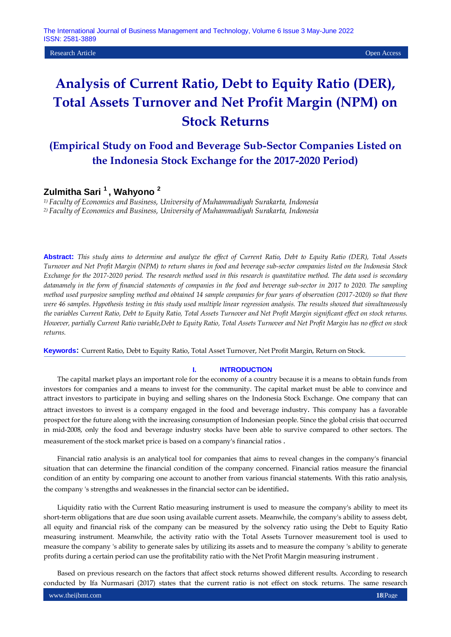Research Article Open Access

# **Analysis of Current Ratio, Debt to Equity Ratio (DER), Total Assets Turnover and Net Profit Margin (NPM) on Stock Returns**

# **(Empirical Study on Food and Beverage Sub-Sector Companies Listed on the Indonesia Stock Exchange for the 2017-2020 Period)**

# **Zulmitha Sari <sup>1</sup>, Wahyono <sup>2</sup>**

*1) Faculty of Economics and Business, University of Muhammadiyah Surakarta, Indonesia 2) Faculty of Economics and Business, University of Muhammadiyah Surakarta, Indonesia*

**Abstract:** *This study aims to determine and analyze the effect of Current Ratio, Debt to Equity Ratio (DER), Total Assets Turnover and Net Profit Margin (NPM) to return shares in food and beverage sub-sector companies listed on the Indonesia Stock Exchange for the 2017-2020 period. The research method used in this research is quantitative method. The data used is secondary datanamely in the form of financial statements of companies in the food and beverage sub-sector in 2017 to 2020. The sampling method used purposive sampling method and obtained 14 sample companies for four years of observation (2017-2020) so that there were 46 samples. Hypothesis testing in this study used multiple linear regression analysis. The results showed that simultaneously the variables Current Ratio, Debt to Equity Ratio, Total Assets Turnover and Net Profit Margin significant effect on stock returns. However, partially Current Ratio variable,Debt to Equity Ratio, Total Assets Turnover and Net Profit Margin has no effect on stock returns.*

**Keywords:** Current Ratio, Debt to Equity Ratio, Total Asset Turnover, Net Profit Margin, Return on Stock.

#### **I. INTRODUCTION**

The capital market plays an important role for the economy of a country because it is a means to obtain funds from investors for companies and a means to invest for the community. The capital market must be able to convince and attract investors to participate in buying and selling shares on the Indonesia Stock Exchange. One company that can attract investors to invest is a company engaged in the food and beverage industry. This company has a favorable prospect for the future along with the increasing consumption of Indonesian people. Since the global crisis that occurred in mid-2008, only the food and beverage industry stocks have been able to survive compared to other sectors. The measurement of the stock market price is based on a company's financial ratios .

Financial ratio analysis is an analytical tool for companies that aims to reveal changes in the company's financial situation that can determine the financial condition of the company concerned. Financial ratios measure the financial condition of an entity by comparing one account to another from various financial statements. With this ratio analysis, the company 's strengths and weaknesses in the financial sector can be identified.

Liquidity ratio with the Current Ratio measuring instrument is used to measure the company's ability to meet its short-term obligations that are due soon using available current assets. Meanwhile, the company's ability to assess debt, all equity and financial risk of the company can be measured by the solvency ratio using the Debt to Equity Ratio measuring instrument. Meanwhile, the activity ratio with the Total Assets Turnover measurement tool is used to measure the company 's ability to generate sales by utilizing its assets and to measure the company 's ability to generate profits during a certain period can use the profitability ratio with the Net Profit Margin measuring instrument .

Based on previous research on the factors that affect stock returns showed different results. According to research conducted by Ifa Nurmasari (2017) states that the current ratio is not effect on stock returns. The same research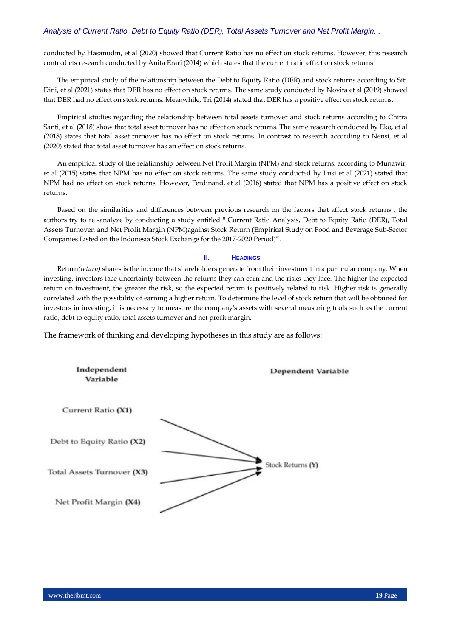conducted by Hasanudin, et al (2020) showed that Current Ratio has no effect on stock returns. However, this research contradicts research conducted by Anita Erari (2014) which states that the current ratio effect on stock returns.

The empirical study of the relationship between the Debt to Equity Ratio (DER) and stock returns according to Siti Dini, et al (2021) states that DER has no effect on stock returns. The same study conducted by Novita et al (2019) showed that DER had no effect on stock returns. Meanwhile, Tri (2014) stated that DER has a positive effect on stock returns.

Empirical studies regarding the relationship between total assets turnover and stock returns according to Chitra Santi, et al (2018) show that total asset turnover has no effect on stock returns. The same research conducted by Eko, et al (2018) states that total asset turnover has no effect on stock returns. In contrast to research according to Nensi, et al (2020) stated that total asset turnover has an effect on stock returns.

An empirical study of the relationship between Net Profit Margin (NPM) and stock returns, according to Munawir, et al (2015) states that NPM has no effect on stock returns. The same study conducted by Lusi et al (2021) stated that NPM had no effect on stock returns. However, Ferdinand, et al (2016) stated that NPM has a positive effect on stock returns.

Based on the similarities and differences between previous research on the factors that affect stock returns , the authors try to re -analyze by conducting a study entitled " Current Ratio Analysis, Debt to Equity Ratio (DER), Total Assets Turnover, and Net Profit Margin (NPM)against Stock Return (Empirical Study on Food and Beverage Sub-Sector Companies Listed on the Indonesia Stock Exchange for the 2017-2020 Period)".

#### **II. HEADINGS**

Return*(return)* shares is the income that shareholders generate from their investment in a particular company. When investing, investors face uncertainty between the returns they can earn and the risks they face. The higher the expected return on investment, the greater the risk, so the expected return is positively related to risk. Higher risk is generally correlated with the possibility of earning a higher return. To determine the level of stock return that will be obtained for investors in investing, it is necessary to measure the company's assets with several measuring tools such as the current ratio, debt to equity ratio, total assets turnover and net profit margin.

The framework of thinking and developing hypotheses in this study are as follows:

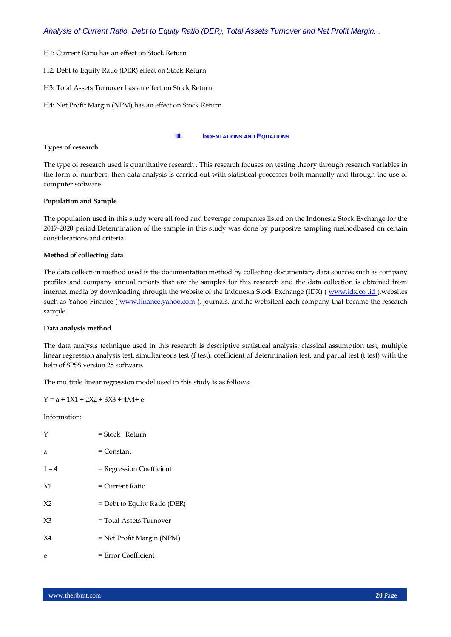- H1: Current Ratio has an effect on Stock Return
- H2: Debt to Equity Ratio (DER) effect on Stock Return
- H3: Total Assets Turnover has an effect on Stock Return
- H4: Net Profit Margin (NPM) has an effect on Stock Return

#### **III. INDENTATIONS AND EQUATIONS**

#### **Types of research**

The type of research used is quantitative research . This research focuses on testing theory through research variables in the form of numbers, then data analysis is carried out with statistical processes both manually and through the use of computer software.

#### **Population and Sample**

The population used in this study were all food and beverage companies listed on the Indonesia Stock Exchange for the 2017-2020 period.Determination of the sample in this study was done by purposive sampling methodbased on certain considerations and criteria.

#### **Method of collecting data**

The data collection method used is the documentation method by collecting documentary data sources such as company profiles and company annual reports that are the samples for this research and the data collection is obtained from internet media by downloading through the website of the Indonesia Stock Exchange (IDX) (www.idx.co .id ),websites such as Yahoo Finance ( [www.finance.yahoo.com \)](http://www.finance.yahoo.com/), journals, and the websiteof each company that became the research sample.

#### **Data analysis method**

The data analysis technique used in this research is descriptive statistical analysis, classical assumption test, multiple linear regression analysis test, simultaneous test (f test), coefficient of determination test, and partial test (t test) with the help of SPSS version 25 software.

The multiple linear regression model used in this study is as follows:

# $Y = a + 1X1 + 2X2 + 3X3 + 4X4 + e$

Information:

| Y              | = Stock Return               |
|----------------|------------------------------|
| a              | = Constant                   |
| $1 - 4$        | = Regression Coefficient     |
| X <sub>1</sub> | $=$ Current Ratio            |
| X <sub>2</sub> | = Debt to Equity Ratio (DER) |
| $X_3$          | = Total Assets Turnover      |
| $X_4$          | = Net Profit Margin (NPM)    |
| е              | $=$ Error Coefficient        |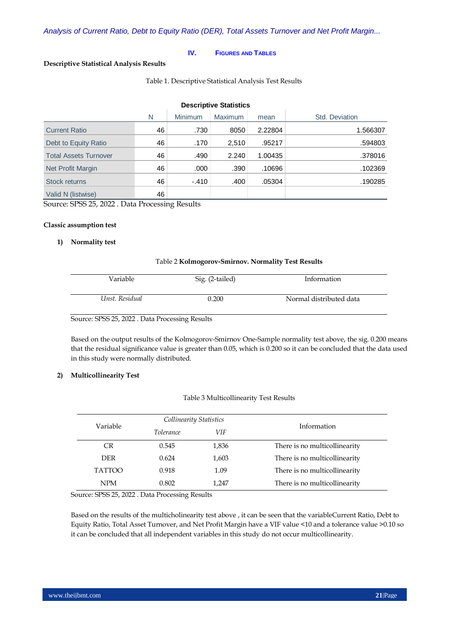#### **IV. FIGURES AND TABLES**

# **Descriptive Statistical Analysis Results**

Table 1. Descriptive Statistical Analysis Test Results

| <b>Descriptive Statistics</b> |    |         |                |         |                |  |
|-------------------------------|----|---------|----------------|---------|----------------|--|
|                               | N  | Minimum | <b>Maximum</b> | mean    | Std. Deviation |  |
| <b>Current Ratio</b>          | 46 | .730    | 8050           | 2.22804 | 1.566307       |  |
| Debt to Equity Ratio          | 46 | .170    | 2,510          | .95217  | .594803        |  |
| <b>Total Assets Turnover</b>  | 46 | .490    | 2.240          | 1.00435 | .378016        |  |
| Net Profit Margin             | 46 | .000    | .390           | .10696  | .102369        |  |
| Stock returns                 | 46 | $-.410$ | .400           | .05304  | .190285        |  |
| Valid N (listwise)            | 46 |         |                |         |                |  |

Source: SPSS 25, 2022 . Data Processing Results

#### **Classic assumption test**

# **1) Normality test**

#### Table 2 **Kolmogorov-Smirnov. Normality Test Results**

| Variable       | Sig. (2-tailed) | Information             |
|----------------|-----------------|-------------------------|
| Unst. Residual | 0.200           | Normal distributed data |

Source: SPSS 25, 2022 . Data Processing Results

Based on the output results of the Kolmogorov-Smirnov One-Sample normality test above, the sig. 0.200 means that the residual significance value is greater than 0.05, which is 0.200 so it can be concluded that the data used in this study were normally distributed.

#### **2) Multicollinearity Test**

#### Table 3 Multicollinearity Test Results

| Variable      | Collinearity Statistics |       |                               |  |
|---------------|-------------------------|-------|-------------------------------|--|
|               | <i>Tolerance</i>        | VIF   | Information                   |  |
| CR.           | 0.545                   | 1,836 | There is no multicollinearity |  |
| <b>DER</b>    | 0.624                   | 1,603 | There is no multicollinearity |  |
| <b>TATTOO</b> | 0.918                   | 1.09  | There is no multicollinearity |  |
| <b>NPM</b>    | 0.802                   | 1,247 | There is no multicollinearity |  |

Source: SPSS 25, 2022 . Data Processing Results

Based on the results of the multicholinearity test above , it can be seen that the variableCurrent Ratio, Debt to Equity Ratio, Total Asset Turnover, and Net Profit Margin have a VIF value <10 and a tolerance value >0.10 so it can be concluded that all independent variables in this study do not occur multicollinearity.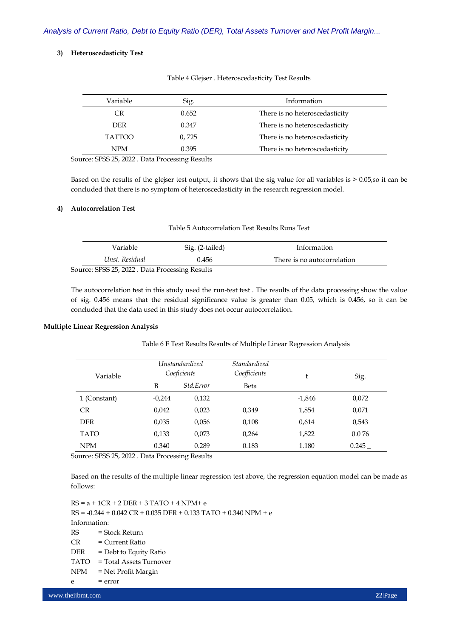#### **3) Heteroscedasticity Test**

| Variable      | Sig.  | Information                    |
|---------------|-------|--------------------------------|
| CR            | 0.652 | There is no heteroscedasticity |
| <b>DER</b>    | 0.347 | There is no heteroscedasticity |
| <b>TATTOO</b> | 0,725 | There is no heteroscedasticity |
| <b>NPM</b>    | 0.395 | There is no heteroscedasticity |
|               |       |                                |

Table 4 Glejser . Heteroscedasticity Test Results

Source: SPSS 25, 2022 . Data Processing Results

Based on the results of the glejser test output, it shows that the sig value for all variables is > 0.05,so it can be concluded that there is no symptom of heteroscedasticity in the research regression model.

#### **4) Autocorrelation Test**

| Table 5 Autocorrelation Test Results Runs Test |  |  |  |
|------------------------------------------------|--|--|--|
|------------------------------------------------|--|--|--|

| Variable                                        | Sig. (2-tailed) | Information                 |  |  |  |  |  |
|-------------------------------------------------|-----------------|-----------------------------|--|--|--|--|--|
| Unst. Residual                                  | 0.456           | There is no autocorrelation |  |  |  |  |  |
| Source: SPSS 25, 2022 . Data Processing Results |                 |                             |  |  |  |  |  |

The autocorrelation test in this study used the run-test test . The results of the data processing show the value of sig. 0.456 means that the residual significance value is greater than 0.05, which is 0.456, so it can be concluded that the data used in this study does not occur autocorrelation.

#### **Multiple Linear Regression Analysis**

Table 6 F Test Results Results of Multiple Linear Regression Analysis

| Variable     |          | <i><u><b>Unstandardized</b></u></i><br>Coeficients | <i><b>Standardized</b></i><br>Coefficients | t        | Sig.  |
|--------------|----------|----------------------------------------------------|--------------------------------------------|----------|-------|
|              | B        | Std.Error                                          | Beta                                       |          |       |
| 1 (Constant) | $-0,244$ | 0,132                                              |                                            | $-1,846$ | 0,072 |
| <b>CR</b>    | 0.042    | 0,023                                              | 0,349                                      | 1,854    | 0,071 |
| <b>DER</b>   | 0,035    | 0,056                                              | 0,108                                      | 0,614    | 0.543 |
| <b>TATO</b>  | 0,133    | 0,073                                              | 0,264                                      | 1,822    | 0.076 |
| <b>NPM</b>   | 0.340    | 0.289                                              | 0.183                                      | 1.180    | 0.245 |

Source: SPSS 25, 2022 . Data Processing Results

Based on the results of the multiple linear regression test above, the regression equation model can be made as follows:

 $RS = a + 1CR + 2 DER + 3 TATO + 4 NPM + e$  $RS = -0.244 + 0.042 CR + 0.035 DER + 0.133 TATO + 0.340 NPM + e$ Information: RS = Stock Return  $CR = Current Ratio$  $DER = Debt$  to Equity Ratio TATO = Total Assets Turnover NPM = Net Profit Margin  $= error$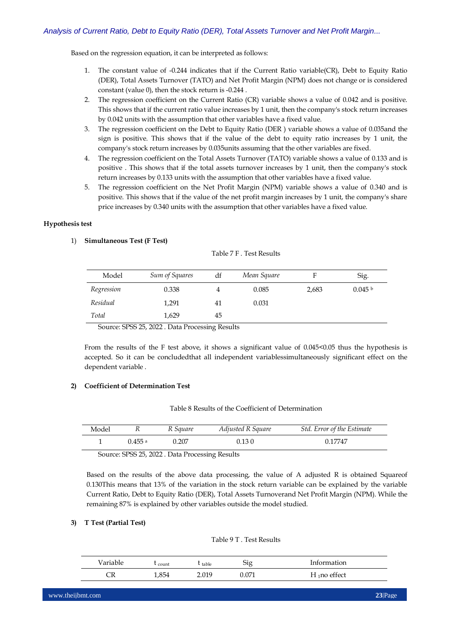Based on the regression equation, it can be interpreted as follows:

- 1. The constant value of -0.244 indicates that if the Current Ratio variable(CR), Debt to Equity Ratio (DER), Total Assets Turnover (TATO) and Net Profit Margin (NPM) does not change or is considered constant (value 0), then the stock return is -0.244 .
- 2. The regression coefficient on the Current Ratio (CR) variable shows a value of 0.042 and is positive. This shows that if the current ratio value increases by 1 unit, then the company's stock return increases by 0.042 units with the assumption that other variables have a fixed value.
- 3. The regression coefficient on the Debt to Equity Ratio (DER ) variable shows a value of 0.035and the sign is positive. This shows that if the value of the debt to equity ratio increases by 1 unit, the company's stock return increases by 0.035units assuming that the other variables are fixed.
- 4. The regression coefficient on the Total Assets Turnover (TATO) variable shows a value of 0.133 and is positive . This shows that if the total assets turnover increases by 1 unit, then the company's stock return increases by 0.133 units with the assumption that other variables have a fixed value.
- 5. The regression coefficient on the Net Profit Margin (NPM) variable shows a value of 0.340 and is positive. This shows that if the value of the net profit margin increases by 1 unit, the company's share price increases by 0.340 units with the assumption that other variables have a fixed value.

# **Hypothesis test**

# 1) **Simultaneous Test (F Test)**

|  |  |  | Table 7 F . Test Results |
|--|--|--|--------------------------|
|--|--|--|--------------------------|

| Model      | Sum of Squares | df | Mean Square |       | Sig.      |
|------------|----------------|----|-------------|-------|-----------|
| Regression | 0.338          |    | 0.085       | 2,683 | $0.045$ b |
| Residual   | 1,291          | 41 | 0.031       |       |           |
| Total      | 1,629          | 45 |             |       |           |

Source: SPSS 25, 2022 . Data Processing Results

From the results of the F test above, it shows a significant value of 0.045 < 0.05 thus the hypothesis is accepted. So it can be concludedthat all independent variablessimultaneously significant effect on the dependent variable .

# **2) Coefficient of Determination Test**

#### Table 8 Results of the Coefficient of Determination

| Model |         | R Square | Adjusted R Square | Std. Error of the Estimate |
|-------|---------|----------|-------------------|----------------------------|
|       | 0.455 a | 0.207    | 0.130             | 0.17747                    |

Source: SPSS 25, 2022 . Data Processing Results

Based on the results of the above data processing, the value of A adjusted R is obtained Squareof 0.130This means that 13% of the variation in the stock return variable can be explained by the variable Current Ratio, Debt to Equity Ratio (DER), Total Assets Turnoverand Net Profit Margin (NPM). While the remaining 87% is explained by other variables outside the model studied.

#### **3) T Test (Partial Test)**

#### Table 9 T . Test Results

| <sup>V</sup> ariable | count | table | Sig   | Information     |
|----------------------|-------|-------|-------|-----------------|
| ◡                    | 1,854 | 2.019 | 0.071 | $H_1$ no effect |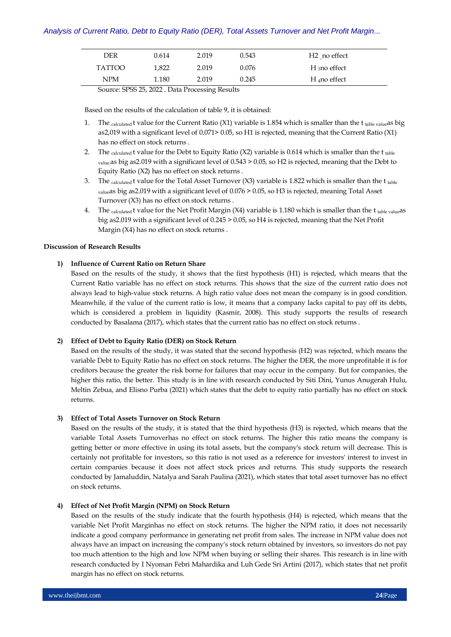| DER    | 0.614 | 2.019 | 0.543 | H <sub>2</sub> no effect |
|--------|-------|-------|-------|--------------------------|
| TATTOO | 1.822 | 2.019 | 0.076 | $H_3$ no effect          |
| NPM    | 1.180 | 2.019 | 0.245 | $H_4$ no effect          |

Source: SPSS 25, 2022 . Data Processing Results

Based on the results of the calculation of table 9, it is obtained:

- 1. The calculated t value for the Current Ratio (X1) variable is 1.854 which is smaller than the t table value as big as2,019 with a significant level of 0.071> 0.05, so H1 is rejected, meaning that the Current Ratio (X1) has no effect on stock returns .
- 2. The calculated t value for the Debt to Equity Ratio (X2) variable is 0.614 which is smaller than the t table value.as big as2.019 with a significant level of 0.543 > 0.05, so H2 is rejected, meaning that the Debt to Equity Ratio (X2) has no effect on stock returns .
- 3. The calculated t value for the Total Asset Turnover  $(X3)$  variable is 1.822 which is smaller than the t table valueas big as2.019 with a significant level of 0.076 > 0.05, so H3 is rejected, meaning Total Asset Turnover (X3) has no effect on stock returns .
- 4. The calculated t value for the Net Profit Margin  $(X4)$  variable is 1.180 which is smaller than the t table value as big as2.019 with a significant level of 0.245 > 0.05, so H4 is rejected, meaning that the Net Profit Margin (X4) has no effect on stock returns .

# **Discussion of Research Results**

# **1) Influence of Current Ratio on Return Share**

Based on the results of the study, it shows that the first hypothesis (H1) is rejected, which means that the Current Ratio variable has no effect on stock returns. This shows that the size of the current ratio does not always lead to high-value stock returns. A high ratio value does not mean the company is in good condition. Meanwhile, if the value of the current ratio is low, it means that a company lacks capital to pay off its debts, which is considered a problem in liquidity (Kasmir, 2008). This study supports the results of research conducted by Basalama (2017), which states that the current ratio has no effect on stock returns .

# **2) Effect of Debt to Equity Ratio (DER) on Stock Return**

Based on the results of the study, it was stated that the second hypothesis (H2) was rejected, which means the variable Debt to Equity Ratio has no effect on stock returns. The higher the DER, the more unprofitable it is for creditors because the greater the risk borne for failures that may occur in the company. But for companies, the higher this ratio, the better. This study is in line with research conducted by Siti Dini, Yunus Anugerah Hulu, Meltin Zebua, and Elisno Purba (2021) which states that the debt to equity ratio partially has no effect on stock returns.

#### **3) Effect of Total Assets Turnover on Stock Return**

Based on the results of the study, it is stated that the third hypothesis (H3) is rejected, which means that the variable Total Assets Turnoverhas no effect on stock returns. The higher this ratio means the company is getting better or more effective in using its total assets, but the company's stock return will decrease. This is certainly not profitable for investors, so this ratio is not used as a reference for investors' interest to invest in certain companies because it does not affect stock prices and returns. This study supports the research conducted by Jamaluddin, Natalya and Sarah Paulina (2021), which states that total asset turnover has no effect on stock returns.

# **4) Effect of Net Profit Margin (NPM) on Stock Return**

Based on the results of the study indicate that the fourth hypothesis (H4) is rejected, which means that the variable Net Profit Marginhas no effect on stock returns. The higher the NPM ratio, it does not necessarily indicate a good company performance in generating net profit from sales. The increase in NPM value does not always have an impact on increasing the company's stock return obtained by investors, so investors do not pay too much attention to the high and low NPM when buying or selling their shares. This research is in line with research conducted by I Nyoman Febri Mahardika and Luh Gede Sri Artini (2017), which states that net profit margin has no effect on stock returns.